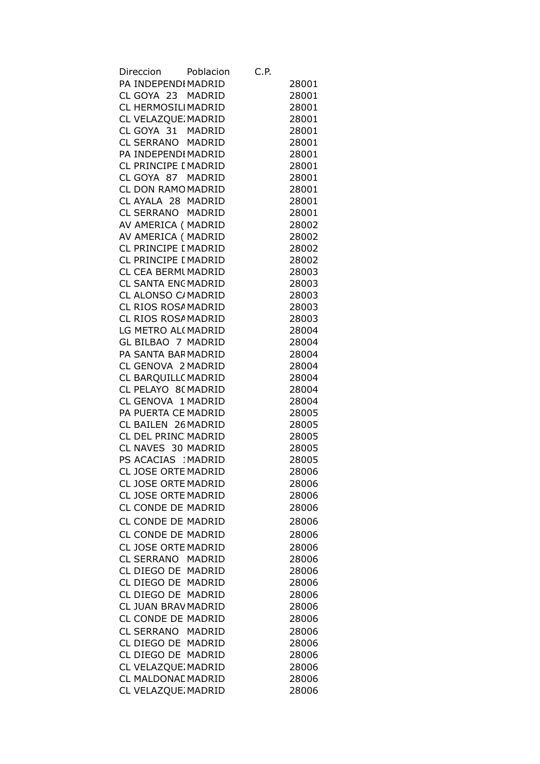| Direccion Poblacion        | C.P. |       |
|----------------------------|------|-------|
| PA INDEPENDIMADRID         |      | 28001 |
| CL GOYA 23 MADRID          |      | 28001 |
| CL HERMOSILIMADRID         |      | 28001 |
| CL VELAZQUE MADRID         |      | 28001 |
| CL GOYA 31 MADRID          |      | 28001 |
| CL SERRANO MADRID          |      | 28001 |
| PA INDEPENDI MADRID        |      | 28001 |
| CL PRINCIPE [ MADRID       |      | 28001 |
| CL GOYA 87 MADRID          |      | 28001 |
| CL DON RAMO MADRID         |      | 28001 |
| CL AYALA 28 MADRID         |      |       |
|                            |      | 28001 |
| CL SERRANO MADRID          |      | 28001 |
| AV AMERICA ( MADRID        |      | 28002 |
| AV AMERICA ( MADRID        |      | 28002 |
| CL PRINCIPE [ MADRID       |      | 28002 |
| CL PRINCIPE [ MADRID       |      | 28002 |
| CL CEA BERMI MADRID        |      | 28003 |
| CL SANTA ENCMADRID         |      | 28003 |
| CL ALONSO C/MADRID         |      | 28003 |
| CL RIOS ROSA MADRID        |      | 28003 |
| CL RIOS ROSA MADRID        |      | 28003 |
| LG METRO AL(MADRID         |      | 28004 |
| GL BILBAO 7 MADRID         |      | 28004 |
| PA SANTA BARMADRID         |      | 28004 |
| CL GENOVA 2 MADRID         |      | 28004 |
| CL BARQUILLC MADRID        |      | 28004 |
| CL PELAYO 8(MADRID         |      | 28004 |
| CL GENOVA 1 MADRID         |      | 28004 |
| PA PUERTA CE MADRID        |      | 28005 |
| CL BAILEN 26 MADRID        |      | 28005 |
| CL DEL PRINC MADRID        |      | 28005 |
| CL NAVES 30 MADRID         |      | 28005 |
| PS ACACIAS IMADRID         |      | 28005 |
| <b>CL JOSE ORTE MADRID</b> |      | 28006 |
| CL JOSE ORTE MADRID        |      | 28006 |
| CL JOSE ORTE MADRID        |      | 28006 |
| CL CONDE DE MADRID         |      | 28006 |
|                            |      |       |
| CL CONDE DE MADRID         |      | 28006 |
| CL CONDE DE MADRID         |      | 28006 |
| CL JOSE ORTE MADRID        |      | 28006 |
| CL SERRANO MADRID          |      | 28006 |
| CL DIEGO DE MADRID         |      | 28006 |
| CL DIEGO DE MADRID         |      | 28006 |
| CL DIEGO DE MADRID         |      | 28006 |
| CL JUAN BRAV MADRID        |      | 28006 |
| CL CONDE DE MADRID         |      | 28006 |
| CL SERRANO MADRID          |      | 28006 |
| CL DIEGO DE MADRID         |      | 28006 |
| CL DIEGO DE MADRID         |      | 28006 |
| CL VELAZQUE MADRID         |      | 28006 |
| CL MALDONAL MADRID         |      | 28006 |
| CL VELAZQUE MADRID         |      | 28006 |
|                            |      |       |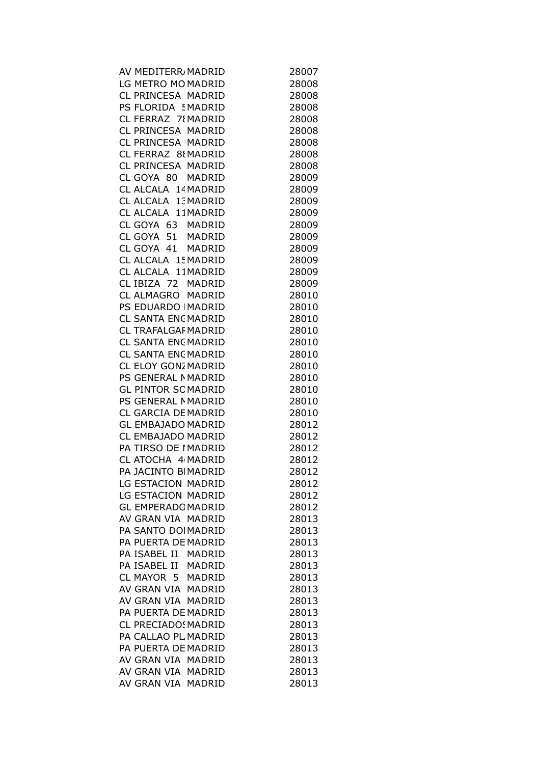| AV MEDITERR MADRID         | 28007 |
|----------------------------|-------|
| LG METRO MO MADRID         | 28008 |
| CL PRINCESA MADRID         | 28008 |
| PS FLORIDA ! MADRID        | 28008 |
| CL FERRAZ 78 MADRID        | 28008 |
| CL PRINCESA MADRID         | 28008 |
| CL PRINCESA MADRID         | 28008 |
| CL FERRAZ 88 MADRID        |       |
|                            | 28008 |
| CL PRINCESA MADRID         | 28008 |
| CL GOYA 80 MADRID          | 28009 |
| CL ALCALA 14 MADRID        | 28009 |
| CL ALCALA 13 MADRID        | 28009 |
| CL ALCALA 11MADRID         | 28009 |
| CL GOYA 63 MADRID          | 28009 |
| CL GOYA 51 MADRID          | 28009 |
| CL GOYA 41 MADRID          | 28009 |
| CL ALCALA 15 MADRID        | 28009 |
| CL ALCALA 11MADRID         | 28009 |
| CL IBIZA 72 MADRID         | 28009 |
| CL ALMAGRO MADRID          | 28010 |
| PS EDUARDO   MADRID        | 28010 |
| <b>CL SANTA ENCMADRID</b>  | 28010 |
|                            |       |
| CL TRAFALGAF MADRID        | 28010 |
| CL SANTA ENCMADRID         | 28010 |
| <b>CL SANTA ENCMADRID</b>  | 28010 |
| CL ELOY GONZ MADRID        | 28010 |
| PS GENERAL NMADRID         | 28010 |
| <b>GL PINTOR SCMADRID</b>  | 28010 |
| PS GENERAL MADRID          | 28010 |
| CL GARCIA DE MADRID        | 28010 |
| <b>GL EMBAJADO MADRID</b>  | 28012 |
| CL EMBAJADO MADRID         | 28012 |
| PA TIRSO DE IMADRID        | 28012 |
| CL ATOCHA 4 MADRID         | 28012 |
| PA JACINTO BIMADRID        | 28012 |
| LG ESTACION MADRID         | 28012 |
| LG ESTACION MADRID         | 28012 |
| <b>GL EMPERADC MADRID</b>  | 28012 |
| AV GRAN VIA MADRID         | 28013 |
| PA SANTO DOIMADRID         | 28013 |
| PA PUERTA DE MADRID        | 28013 |
|                            |       |
| PA ISABEL II MADRID        | 28013 |
| PA ISABEL II MADRID        | 28013 |
| CL MAYOR 5 MADRID          | 28013 |
| AV GRAN VIA MADRID         | 28013 |
| AV GRAN VIA MADRID         | 28013 |
| PA PUERTA DE MADRID        | 28013 |
| <b>CL PRECIADO: MADRID</b> | 28013 |
| PA CALLAO PL MADRID        | 28013 |
| PA PUERTA DE MADRID        | 28013 |
| AV GRAN VIA MADRID         | 28013 |
| AV GRAN VIA MADRID         | 28013 |
| AV GRAN VIA MADRID         | 28013 |
|                            |       |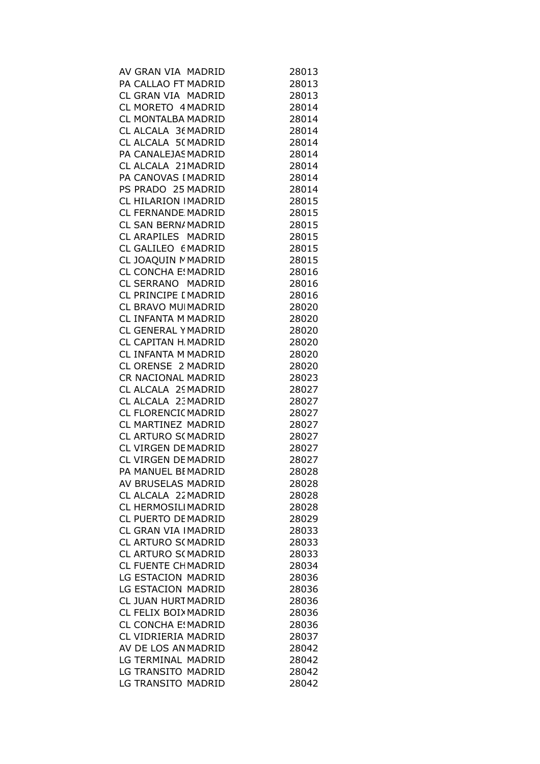| AV GRAN VIA MADRID         | 28013 |
|----------------------------|-------|
| PA CALLAO FT MADRID        | 28013 |
| CL GRAN VIA MADRID         | 28013 |
| CL MORETO 4 MADRID         | 28014 |
| CL MONTALBA MADRID         | 28014 |
| CL ALCALA 36 MADRID        | 28014 |
| CL ALCALA 5(MADRID         | 28014 |
| PA CANALEJAS MADRID        | 28014 |
| CL ALCALA 21MADRID         | 28014 |
| PA CANOVAS I MADRID        | 28014 |
| PS PRADO 25 MADRID         | 28014 |
| CL HILARION   MADRID       | 28015 |
| <b>CL FERNANDE MADRID</b>  | 28015 |
| CL SAN BERN/ MADRID        | 28015 |
| CL ARAPILES MADRID         | 28015 |
| CL GALILEO 6 MADRID        | 28015 |
| CL JOAQUIN MADRID          | 28015 |
| <b>CL CONCHA E! MADRID</b> | 28016 |
| CL SERRANO MADRID          | 28016 |
| CL PRINCIPE I MADRID       | 28016 |
| CL BRAVO MUIMADRID         | 28020 |
| CL INFANTA M MADRID        | 28020 |
| CL GENERAL Y MADRID        | 28020 |
| CL CAPITAN H MADRID        | 28020 |
| CL INFANTA M MADRID        | 28020 |
| CL ORENSE 2 MADRID         | 28020 |
| CR NACIONAL MADRID         | 28023 |
| CL ALCALA 25 MADRID        | 28027 |
| CL ALCALA 23 MADRID        | 28027 |
| CL FLORENCIC MADRID        | 28027 |
| CL MARTINEZ MADRID         | 28027 |
| CL ARTURO S(MADRID         | 28027 |
| CL VIRGEN DE MADRID        | 28027 |
| CL VIRGEN DE MADRID        | 28027 |
| PA MANUEL BI MADRID        | 28028 |
| AV BRUSELAS MADRID         | 28028 |
| CL ALCALA 22 MADRID        | 28028 |
| CL HERMOSILIMADRID         | 28028 |
| <b>CL PUERTO DE MADRID</b> | 28029 |
| CL GRAN VIA IMADRID        | 28033 |
| <b>CL ARTURO S(MADRID</b>  | 28033 |
| CL ARTURO S(MADRID         | 28033 |
| CL FUENTE CHMADRID         | 28034 |
| LG ESTACION MADRID         | 28036 |
| LG ESTACION MADRID         | 28036 |
| CL JUAN HURT MADRID        | 28036 |
| CL FELIX BOIX MADRID       | 28036 |
| <b>CL CONCHA E! MADRID</b> | 28036 |
| CL VIDRIERIA MADRID        | 28037 |
| AV DE LOS AN MADRID        | 28042 |
| LG TERMINAL MADRID         | 28042 |
| LG TRANSITO MADRID         | 28042 |
| LG TRANSITO MADRID         | 28042 |